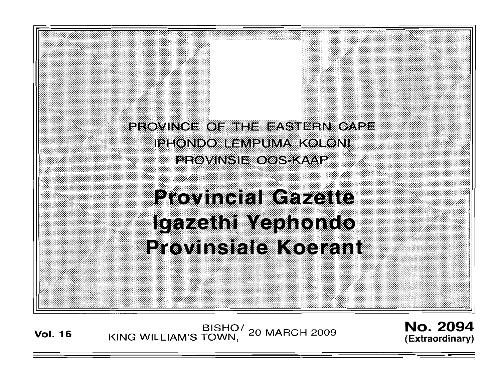

**Vol. <sup>16</sup>** BISHO/ KING WILLIAM'S TOWN, 20 MARCH 2009

No. 2094 **(Extraordinary)**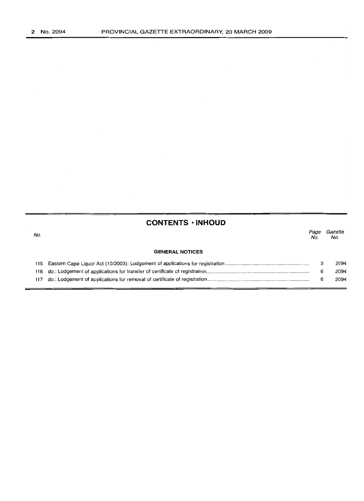# **CONTENTS 'INHOUD**

| No. |                        | Page<br>No. | Gazette<br>No. |
|-----|------------------------|-------------|----------------|
|     | <b>GENERAL NOTICES</b> |             |                |
|     |                        |             | 2094           |
|     |                        | 6           | 2094           |
| 117 |                        | 6           | 2094           |
|     |                        |             |                |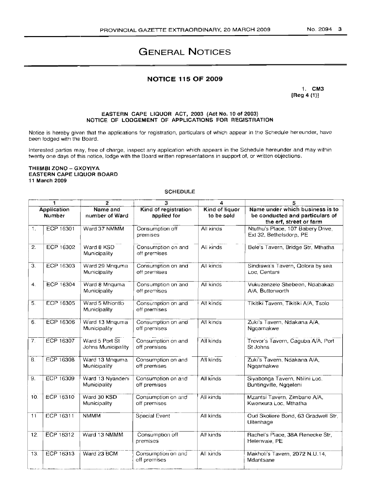# **GENERAL NOTICES**

## **NOTICE 115 OF 2009**

1. CM3  $[Reg 4 (1)]$ 

#### EASTERN CAPE LIQUOR ACT, 2003 (Act No. 10 of 2003) NOTICE OF LODGEMENT OF APPLICATIONS FOR REGISTRATION

Notice is hereby given that the applications for registration, particulars of which appear in the Schedule hereunder, have been lodged with the Board.

Interested parties may, free of charge, inspect any application which appears in the Schedule hereunder and may within twenty one days of this notice, lodge with the Board written representations in support of, or written objections.

#### THEMBI ZONO - GXOYIYA EASTERN CAPE LIQUOR BOARD 11 March 2009

#### **SCHEDULE**

| <b>SCHEDULE</b>                     |                  |                                      |                                     |                              |                                                                                               |  |
|-------------------------------------|------------------|--------------------------------------|-------------------------------------|------------------------------|-----------------------------------------------------------------------------------------------|--|
| 1<br>2                              |                  | з                                    | 4                                   | 5                            |                                                                                               |  |
| <b>Application</b><br><b>Number</b> |                  | Name and<br>number of Ward           | Kind of registration<br>applied for | Kind of liquor<br>to be sold | Name under which business is to<br>be conducted and particulars of<br>the erf, street or farm |  |
| 1.                                  | ECP 16301        | Ward 37 NMMM                         | Consumption off<br>premises         | All kinds                    | Ntuthu's Place, 107 Babery Drive,<br>Ext 32, Bethelsdorp, PE                                  |  |
| 2.                                  | ECP 16302        | Ward 8 KSD<br>Municipality           | Consumption on and<br>off premises  | All kinds                    | Bele's Tavern, Bridge Str, Mthatha                                                            |  |
| $\overline{3}$ .                    | ECP 16303        | Ward 29 Mnquma<br>Municipality       | Consumption on and<br>off premises  | All kinds                    | Sindiswa's Tavern, Qolora by sea<br>Loc. Centani                                              |  |
| 4.                                  | <b>ECP 16304</b> | Ward 8 Mnquma<br>Municipality        | Consumption on and<br>off premises  | All kinds                    | Vukuzenzele Shebeen, Ndabakazi<br>A/A, Butterworth                                            |  |
| 5.                                  | <b>ECP 16305</b> | Ward 5 Mhlontlo<br>Municipality      | Consumption on and<br>off premises  | All kinds                    | Tikitiki Tavern, Tikitiki A/A, Tsolo                                                          |  |
| 6.                                  | <b>ECP 16306</b> | Ward 13 Mnquma<br>Municipality       | Consumption on and<br>off premises  | All kinds                    | Zuki's Tavern, Ndakana A/A,<br>Ngqamakwe                                                      |  |
| 7.                                  | <b>ECP 16307</b> | Ward 5 Port St<br>Johns Municipality | Consumption on and<br>off premises  | All kinds                    | Trevor's Tavern, Caguba A/A, Port<br>St Johns                                                 |  |
| 8.                                  | ECP 16308        | Ward 13 Mnquma<br>Municipality       | Consumption on and<br>off premises  | All kinds                    | Zuki's Tavern, Ndakana A/A,<br>Ngqamakwe                                                      |  |
| 9.                                  | ECP 16309        | Ward 13 Nyandeni<br>Municipality     | Consumption on and<br>off premises  | All kinds                    | Siyabonga Tavern, Ntilini Loc.<br>Buntingville, Nggeleni                                      |  |
| 10 <sub>1</sub>                     | ECP 16310        | Ward 30 KSD<br>Municipality          | Consumption on and<br>off premises  | All kinds                    | Mzantsi Tavern, Zimbane A/A,<br>Kwenxura Loc, Mthatha                                         |  |
| 11                                  | ECP 16311        | <b>NMMM</b>                          | Special Event                       | All kinds                    | Oud Skoliere Bond, 63 Gradwell Str.<br>Uitenhage                                              |  |
| 12.                                 | ECP 16312        | Ward 13 NMMM                         | Consumption off<br>premises         | All kinds                    | Rachel's Place, 38A Renecke Str,<br>Helenvale, PE                                             |  |
| 13.                                 | ECP 16313        | Ward 23 BCM                          | Consumption on and<br>off premises  | All kinds                    | Makholi's Tavern, 2072 N.U.14,<br>Mdantsane                                                   |  |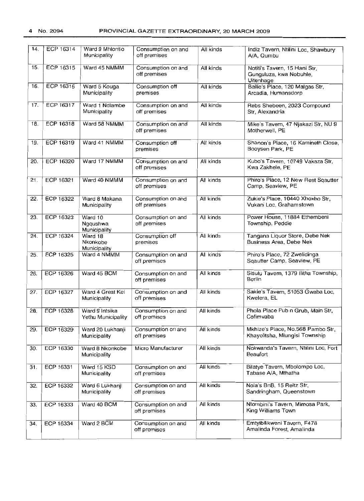| 14. | ECP 16314        | Ward 9 Mhiontio<br>Municipality      | Consumption on and<br>off premises | All kinds | Indiz Tavern, Ntilini Loc, Shawbury<br>A/A, Qumbu                     |
|-----|------------------|--------------------------------------|------------------------------------|-----------|-----------------------------------------------------------------------|
| 15. | ECP 16315        | Ward 45 NMMM                         | Consumption on and<br>off premises | All kinds | Notiti's Tavern, 15 Hani Str,<br>Gunguluza, kwa Nobuhle,<br>Uitenhage |
| 16. | ECP 16316        | Ward 5 Kouga<br>Municipality         | Consumption off<br>premises        | All kinds | Ballie's Place, 120 Malgas Str,<br>Arcadia, Humansdorp                |
| 17. | ECP 16317        | Ward 1 Ndlambe<br>Municipality       | Consumption on and<br>off premises | All kinds | Rebs Shebeen, 2023 Compound<br>Str. Alexandria                        |
| 18. | ECP $16318$      | Ward 58 NMMM                         | Consumption on and<br>off premises | All kinds | Mike's Tavern, 47 Njakazi Str, NU 9<br>Motherwell, PE                 |
| 19. | ECP 16319        | Ward 41 NMMM                         | Consumption off<br>premises        | All kinds | Shanon's Place, 16 Kamineth Close,<br>Booysen Park, PE                |
| 20. | ECP 16320        | Ward 17 NMMM                         | Consumption on and<br>off premises | All kinds | Kubo's Tavern, 10749 Vakaza Str,<br>Kwa Zakhele, PE                   |
| 21. | <b>ECP 16321</b> | Ward 40 NMMM                         | Consumption on and<br>off premises | All kinds | Phiro's Place, 12 New Rest Sqautter<br>Camp, Seaview, PE              |
| 22. | <b>ECP 16322</b> | Ward 8 Makana<br>Municipality        | Consumption on and<br>off premises | All kinds | Zukie's Place, 10440 Xhoxho Str,<br>Vukani Loc, Grahamstown           |
| 23. | <b>ECP 16323</b> | Ward 10<br>Ngqushwa<br>Municipality  | Consumption on and<br>off premises | All kinds | Power House, 11884 Ethembeni<br>Township, Peddie                      |
| 24. | <b>ECP 16324</b> | Ward 18<br>Nkonkobe<br>Municipality  | Consumption off<br>premises        | All kinds | Tangana Liquor Store, Debe Nek<br>Business Area, Debe Nek             |
| 25. | <b>ECP 16325</b> | Ward 4 NMMM                          | Consumption on and<br>off premises | All kinds | Phiro's Place, 72 Zwelidinga<br>Sqautter Camp, Seaview, PE            |
| 26. | ECP 16326        | Ward 45 BCM                          | Consumption on and<br>off premises | All kinds | Sisulu Tavern, 1379 Ilitha Township,<br>Berlin                        |
| 27. | ECP 16327        | Ward 4 Great Kei<br>Municipality     | Consumption on and<br>off premises | All kinds | Sakie's Tavern, 51053 Gwaba Loc,<br>Kwelera, EL                       |
| 28. | ECP 16328        | Ward 9 Intsika<br>Yethu Municipality | Consumption on and<br>off premises | All kinds | Phola Place Pub n Grub, Main Str,<br>Cofimvaba                        |
| 29. | ECP 16329        | Ward 20 Lukhanji<br>Municipality     | Consumption on and<br>off premises | All kinds | Mkhize's Place, No.568 Pambo Str,<br>Khayelitsha, Mlungisi Township   |
| 30. | ECP 16330        | Ward 8 Nkonkobe<br>Municipality      | Micro Manufacturer                 | All kinds | Nokwanda's Tavern, Ntilini Loc, Fort<br>Beaufort                      |
| 31. | <b>ECP 16331</b> | Ward 15 KSD<br>Municipality          | Consumption on and<br>off premises | All kinds | Bilatye Tavern, Mbolompo Loc,<br>Tabase A/A, Mthatha                  |
| 32. | <b>ECP 16332</b> | Ward 6 Lukhanji<br>Municipality      | Consumption on and<br>off premises | All kinds | Nola's BnB, 15 Reitz Str,<br>Sandringham, Queenstown                  |
| 33. | ECP 16333        | Ward 40 BCM                          | Consumption on and<br>off premises | All kinds | Ntombini's Tavern, Mimosa Park,<br>King Williams Town                 |
| 34. | ECP 16334        | Ward 2 BCM                           | Consumption on and<br>off premises | All kinds | Emtyibilikweni Tavern, F478<br>Amalinda Forest, Amalinda              |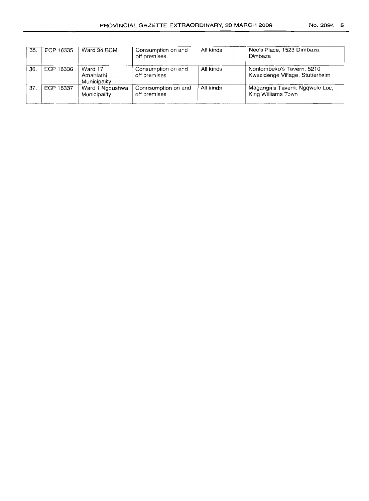| 35  | ECP 16335 | Ward 34 BCM                          | Consumption on and<br>off premises  | All kinds | Neo's Place, 1523 Dimbaza,<br>Dimbaza                        |
|-----|-----------|--------------------------------------|-------------------------------------|-----------|--------------------------------------------------------------|
| 36. | ECP 16336 | Ward 17<br>Amahlathi<br>Municipality | Consumption on and<br>off premises  | All kinds | Nontombeko's Tavern, 5210<br>Kwazidenge Village, Stutterheim |
| 37. | ECP 16337 | Ward 1 Nggushwa<br>Municipality      | Connsumption on and<br>off premises | All kinds | Maganga's Tavern, Ngqwele Loc,<br>King Williams Town         |